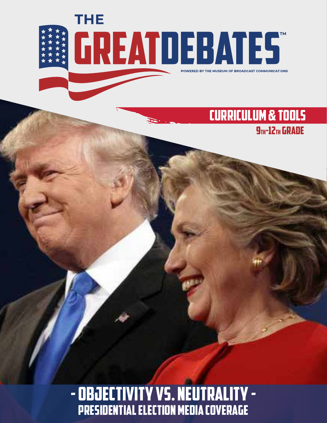

### CURRICULUM & TOOLS **9TH-12TH GRADE**

- OBJECTIVITY VS. NEUTRALITY -Presidential Election Media Coverage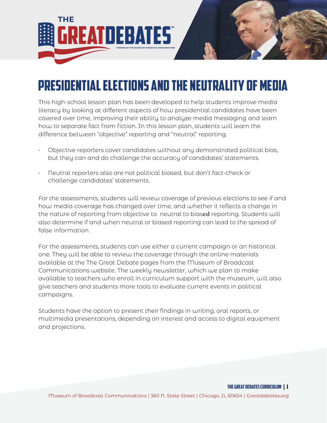

# Presidential Elections and the Neutrality of Media

This high-school lesson plan has been developed to help students improve media literacy by looking at different aspects of how presidential candidates have been covered over time, improving their ability to analyze media messaging and learn how to separate fact from fiction. In this lesson plan, students will learn the difference between "objective" reporting and "neutral" reporting.

- Objective reporters cover candidates without any demonstrated political bias, but they can and do challenge the accuracy of candidates' statements.
- Neutral reporters also are not political biased, but don't fact-check or challenge candidates' statements.

For the assessments, students will review coverage of previous elections to see if and how media coverage has changed over time, and whether it reflects a change in the nature of reporting from objective to neutral to biased reporting. Students will also determine if and when neutral or biased reporting can lead to the spread of false information.

For the assessments, students can use either a current campaign or an historical one. They will be able to review the coverage through the online materials available at the The Great Debate pages from the Museum of Broadcast Communications website. The weekly newsletter, which we plan to make available to teachers who enroll in curriculum support with the museum, will also give teachers and students more tools to evaluate current events in political campaigns.

Students have the option to present their findings in writing, oral reports, or multimedia presentations, depending on interest and access to digital equipment and projections.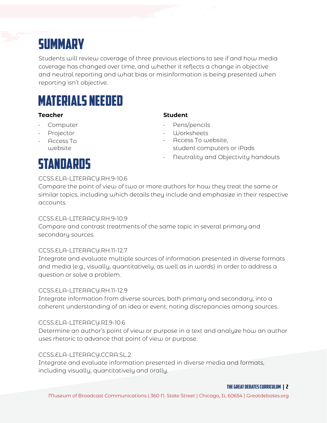# **SUMMARY**

Students will review coverage of three previous elections to see if and how media coverage has changed over time, and whether it reflects a change in objective and neutral reporting and what bias or misinformation is being presented when reporting isn't objective.

# MATERIALS NEEDED

#### **Teacher Student**

- **Computer**
- **Projector**
- Access To website

- Pens/pencils
- Worksheets
- Access To website, student computers or iPads
- Neutrality and Objectivity handouts

# Standards

#### CCSS.ELA-LITERACY.RH.9-10.6

Compare the point of view of two or more authors for how they treat the same or similar topics, including which details they include and emphasize in their respective accounts.

#### CCSS.ELA-LITERACY.RH.9-10.9

Compare and contrast treatments of the same topic in several primary and secondary sources.

#### CCSS.ELA-LITERACY.RH.11-12.7

Integrate and evaluate multiple sources of information presented in diverse formats and media (e.g., visually, quantitatively, as well as in words) in order to address a question or solve a problem.

#### CCSS.ELA-LITERACY.RH.11-12.9

Integrate information from diverse sources, both primary and secondary, into a coherent understanding of an idea or event, noting discrepancies among sources.

#### CCSS.ELA-LITERACY.RI.9-10.6

Determine an author's point of view or purpose in a text and analyze how an author uses rhetoric to advance that point of view or purpose.

#### CCSS.ELA-LITERACY.CCRA.SL.2

Integrate and evaluate information presented in diverse media and formats, including visually, quantitatively and orally.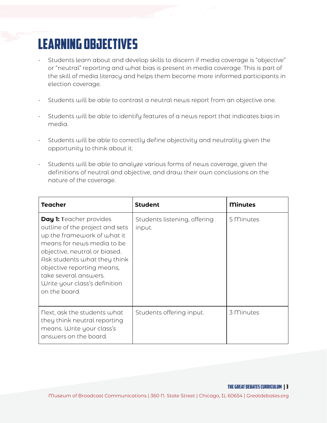# LEARNING OBJECTIVES

- Students learn about and develop skills to discern if media coverage is "objective" or "neutral" reporting and what bias is present in media coverage. This is part of the skill of media literacy and helps them become more informed participants in election coverage.
- Students will be able to contrast a neutral news report from an objective one.
- Students will be able to identify features of a news report that indicates bias in media.
- Students will be able to correctly define objectivity and neutrality given the opportunity to think about it.
- Students will be able to analyze various forms of news coverage, given the definitions of neutral and objective, and draw their own conclusions on the nature of the coverage.

| Teacher                                                                                                                                                                                                                                                                                                  | <b>Student</b>                         | <b>Minutes</b> |
|----------------------------------------------------------------------------------------------------------------------------------------------------------------------------------------------------------------------------------------------------------------------------------------------------------|----------------------------------------|----------------|
| <b>Day 1: Teacher provides</b><br>outline of the project and sets<br>up the framework of what it<br>means for news media to be<br>objective, neutral or biased.<br>Ask students what they think<br>objective reporting means,<br>take several answers.<br>Write your class's definition<br>on the board. | Students listening, offering<br>input. | 5 Minutes      |
| Next, ask the students what<br>they think neutral reporting<br>means. Write your class's<br>answers on the board.                                                                                                                                                                                        | Students offering input.               | 3 Minutes      |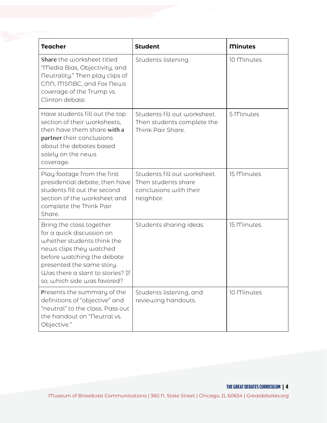| <b>Teacher</b>                                                                                                                                                                                                                               | <b>Student</b>                                                                             | <b>Minutes</b> |
|----------------------------------------------------------------------------------------------------------------------------------------------------------------------------------------------------------------------------------------------|--------------------------------------------------------------------------------------------|----------------|
| Share the worksheet titled<br>"Media Bias, Objectivity, and<br>neutrality." Then play clips of<br>CNN, MSNBC, and Fox News<br>coverage of the Trump vs.<br>Clinton debate.                                                                   | Students listening.                                                                        | 10 Minutes     |
| Have students fill out the top<br>section of their worksheets,<br>then have them share with a<br>partner their conclusions<br>about the debates based<br>solely on the news<br>coverage.                                                     | Students fill out worksheet.<br>Then students complete the<br>Think Pair Share.            | 5 Minutes      |
| Play footage from the first<br>presidential debate, then have<br>students fill out the second<br>section of the worksheet and<br>complete the Think Pair<br>Share.                                                                           | Students fill out worksheet.<br>Then students share<br>conclusions with their<br>neighbor. | 15 Minutes     |
| Bring the class together<br>for a quick discussion on<br>whether students think the<br>news clips they watched<br>before watching the debate<br>presented the same story.<br>Was there a slant to stories? If<br>so, which side was favored? | Students sharing ideas.                                                                    | 15 Minutes     |
| Presents the summary of the<br>definitions of "objective" and<br>"neutral" to the class. Pass out<br>the handout on "Neutral vs.<br>Objective."                                                                                              | Students listening, and<br>reviewing handouts.                                             | 10 Minutes     |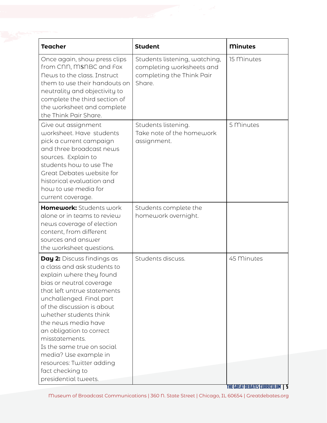| <b>Teacher</b>                                                                                                                                                                                                                                                                                                                                                                                                                                   | <b>Student</b>                                                                                    | <b>Minutes</b>                          |
|--------------------------------------------------------------------------------------------------------------------------------------------------------------------------------------------------------------------------------------------------------------------------------------------------------------------------------------------------------------------------------------------------------------------------------------------------|---------------------------------------------------------------------------------------------------|-----------------------------------------|
| Once again, show press clips<br>from CNN, MSNBC and Fox<br>News to the class. Instruct<br>them to use their handouts on<br>neutrality and objectivity to<br>complete the third section of<br>the worksheet and complete<br>the Think Pair Share.                                                                                                                                                                                                 | Students listening, watching,<br>completing worksheets and<br>completing the Think Pair<br>Share. | 15 Minutes                              |
| Give out assignment<br>worksheet. Have students<br>pick a current campaign<br>and three broadcast news<br>sources. Explain to<br>students how to use The<br>Great Debates website for<br>historical evaluation and<br>how to use media for<br>current coverage.                                                                                                                                                                                  | Students listening.<br>Take note of the homework<br>assignment.                                   | 5 Minutes                               |
| Homework: Students work<br>alone or in teams to review<br>news coverage of election<br>content, from different<br>sources and answer<br>the worksheet questions.                                                                                                                                                                                                                                                                                 | Students complete the<br>homework overnight.                                                      |                                         |
| <b>Day 2:</b> Discuss findings as<br>a class and ask students to<br>explain where they found<br>bias or neutral coverage<br>that left untrue statements<br>unchallenged. Final part<br>of the discussion is about<br>whether students think<br>the news media have<br>an obligation to correct<br>misstatements.<br>Is the same true on social<br>media? Use example in<br>resources: Twitter adding<br>fact checking to<br>presidential tweets. | Students discuss.                                                                                 | 45 Minutes                              |
|                                                                                                                                                                                                                                                                                                                                                                                                                                                  |                                                                                                   | <b>THE GREAT DEBATES CURRICULUM   5</b> |

Museum of Broadcast Communications | 360 N. State Street | Chicago, IL 60654 | Greatdebates.org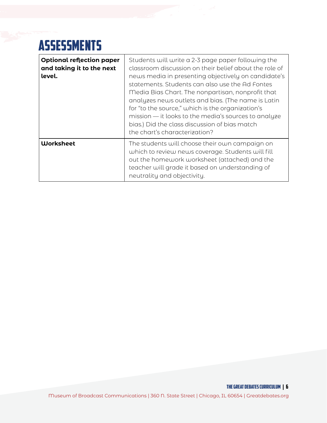# **ASSESSMENTS**

| <b>Optional reflection paper</b><br>and taking it to the next<br>level. | Students will write a 2-3 page paper following the<br>classroom discussion on their belief about the role of<br>news media in presenting objectively on candidate's<br>statements. Students can also use the Ad Fontes<br>Media Bias Chart. The nonpartisan, nonprofit that<br>analyzes news outlets and bias. (The name is Latin<br>for "to the source," which is the organization's<br>mission — it looks to the media's sources to analyze<br>bias.) Did the class discussion of bias match<br>the chart's characterization? |
|-------------------------------------------------------------------------|---------------------------------------------------------------------------------------------------------------------------------------------------------------------------------------------------------------------------------------------------------------------------------------------------------------------------------------------------------------------------------------------------------------------------------------------------------------------------------------------------------------------------------|
| <b>Worksheet</b>                                                        | The students will choose their own campaign on<br>which to review news coverage. Students will fill<br>out the homework worksheet (attached) and the<br>teacher will grade it based on understanding of<br>neutrality and objectivity.                                                                                                                                                                                                                                                                                          |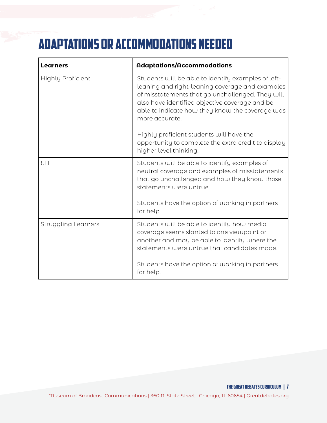# Adaptations or Accommodations needed

| <b>Learners</b>            | <b>Adaptations/Accommodations</b>                                                                                                                                                                                                                                                 |  |
|----------------------------|-----------------------------------------------------------------------------------------------------------------------------------------------------------------------------------------------------------------------------------------------------------------------------------|--|
| <b>Highly Proficient</b>   | Students will be able to identify examples of left-<br>leaning and right-leaning coverage and examples<br>of misstatements that go unchallenged. They will<br>also have identified objective coverage and be<br>able to indicate how they know the coverage was<br>more accurate. |  |
|                            | Highly proficient students will have the<br>opportunity to complete the extra credit to display<br>higher level thinking.                                                                                                                                                         |  |
| ELL                        | Students will be able to identify examples of<br>neutral coverage and examples of misstatements<br>that go unchallenged and how they know those<br>statements were untrue.                                                                                                        |  |
|                            | Students have the option of working in partners<br>for help.                                                                                                                                                                                                                      |  |
| <b>Struggling Learners</b> | Students will be able to identify how media<br>coverage seems slanted to one viewpoint or<br>another and may be able to identify where the<br>statements were untrue that candidates made.                                                                                        |  |
|                            | Students have the option of working in partners<br>for help.                                                                                                                                                                                                                      |  |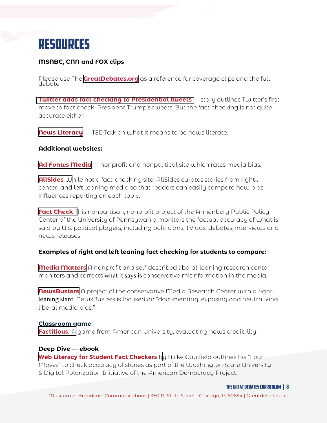

#### **MSNBC, CNN and FOX clips**

Please use The **<GreatDebates.org>** as a reference for coverage clips and the full debate.

**[Twitter adds fact checking to Presidential tweets](https://www.businessinsider.com/twitters-first-fact-check-on-trumps-voting-tweets-was-misleading-2020-5)** — story outlines Twitter's first move to fact-check President Trump's tweets. But the fact-checking is not quite accurate either.

**[News Literacy](https://youtu.be/q-Y-z6HmRgI)** — TEDTalk on what it means to be news literate.

#### **Additional websites:**

**Ad Font**e**[s Media](https://www.adfontesmedia.com/)** — nonprofit and nonpolitical site which rates media bias.

**[AllSides](https://www.allsides.com/topics/facts-and-fact-checking?search=facts%20and%20fact%20checking#gsc.tab=0&gsc.q=facts%20and%20fact%20checking&gsc.page=1)** While not a fact-checking site, AllSides curates stories from right-, center- and left-leaning media so that readers can easily compare how bias influences reporting on each topic.

**[Fact Check](https://www.factcheck.org/)** This nonpartisan, nonprofit project of the Annenberg Public Policy Center of the University of Pennsylvania monitors the factual accuracy of what is said by U.S. political players, including politicians, TV ads, debates, interviews and news releases.

#### **Examples of right and left leaning fact checking for students to compare:**

**[Media Matters](https://www.mediamatters.org/)** A nonprofit and self-described liberal-leaning research center monitors and corrects what it says is conservative misinformation in the media.

**[NewsBusters](https://www.newsbusters.org/)** A project of the conservative Media Research Center with a rightleaning slant, NewsBusters is focused on "documenting, exposing and neutralizing liberal media bias."

#### **Classroom game**

**[Factitious.](http://ww6.factitiousgame.com/)** A game from American University, evaluating news credibility.

#### **Deep Dive — ebook**

**[Web Literacy for Student Fact Checkers](https://webliteracy.pressbooks.com/front-matter/web-strategies-for-student-fact-checkers/)** by Mike Caulfield outlines his "Four Moves" to check accuracy of stories as part of the Washington State University & Digital Polarization Initiative of the American Democracy Project.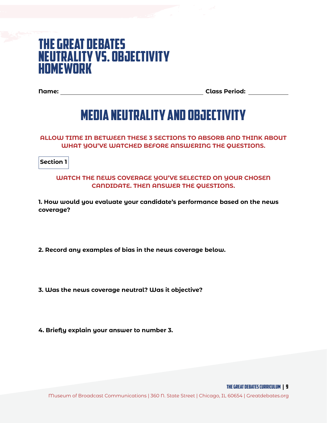### The Great Debates **NEUTRALITY VS. OBJECTIVITY** HOMEWORK

**Name: Class Period:**

### **MEDIA NEUTRALITY AND OBJECTIVITY**

**ALLOW TIME IN BETWEEN THESE 3 SECTIONS TO ABSORB AND THINK ABOUT WHAT YOU'VE WATCHED BEFORE ANSWERING THE QUESTIONS.**

**Section 1**

#### **WATCH THE NEWS COVERAGE YOU'VE SELECTED ON YOUR CHOSEN CANDIDATE. THEN ANSWER THE QUESTIONS.**

**1. How would you evaluate your candidate's performance based on the news coverage?**

**2. Record any examples of bias in the news coverage below.**

**3. Was the news coverage neutral? Was it objective?**

**4. Briefly explain your answer to number 3.**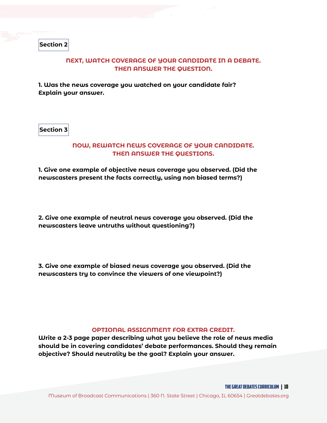**Section 2**

#### **NEXT, WATCH COVERAGE OF YOUR CANDIDATE IN A DEBATE. THEN ANSWER THE QUESTION.**

**1. Was the news coverage you watched on your candidate fair? Explain your answer.**

**Section 3**

#### **NOW, REWATCH NEWS COVERAGE OF YOUR CANDIDATE. THEN ANSWER THE QUESTIONS.**

**1. Give one example of objective news coverage you observed. (Did the newscasters present the facts correctly, using non biased terms?)**

**2. Give one example of neutral news coverage you observed. (Did the newscasters leave untruths without questioning?)**

**3. Give one example of biased news coverage you observed. (Did the newscasters try to convince the viewers of one viewpoint?)**

#### **OPTIONAL ASSIGNMENT FOR EXTRA CREDIT.**

**Write a 2-3 page paper describing what you believe the role of news media should be in covering candidates' debate performances. Should they remain objective? Should neutrality be the goal? Explain your answer.**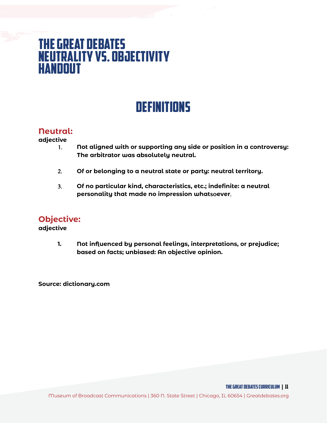### The Great Debates **NEUTRALITY VS. OBJECTIVITY** HANDOUT

### **DEFINITIONS**

#### **Neutral:**

**adjective**

- 1. **Not aligned with or supporting any side or position in a controversy: The arbitrator was absolutely neutral.**
- 2. **Of or belonging to a neutral state or party: neutral territory.**
- 3. **Of no particular kind, characteristics, etc.; indefinite: a neutral personality that made no impression what**so**ever**.

### **Objective:**

**adjective**

**1. Not influenced by personal feelings, interpretations, or prejudice; based on facts; unbiased: An objective opinion.**

**Source: dictionary.com**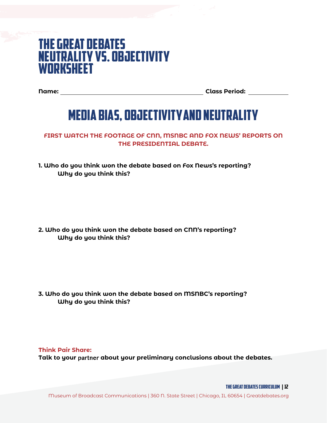### The Great Debates **NEUTRALITY VS. OBJECTIVITY WORKSHEET**

**Name: Class Period:**

## Media bias, objectivity and neutrality

**FIRST WATCH THE FOOTAGE OF CNN, MSNBC AND FOX NEWS' REPORTS ON THE PRESIDENTIAL DEBATE.** 

**1. Who do you think won the debate based on Fox News's reporting? Why do you think this?** 

**2. Who do you think won the debate based on CNN's reporting? Why do you think this?** 

**3. Who do you think won the debate based on MSNBC's reporting? Why do you think this?** 

**Think Pair Share: Talk to your** partner **about your preliminary conclusions about the debates.**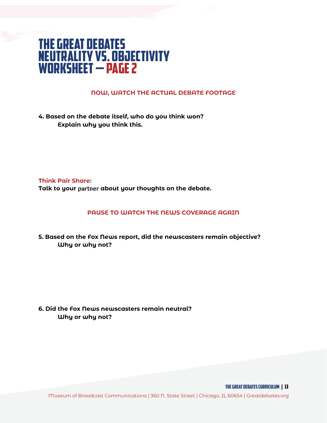### The Great Debates Neutrality vs. Objectivity WORKSHEET — page 2

#### **NOW, WATCH THE ACTUAL DEBATE FOOTAGE**

**4. Based on the debate itself, who do you think won? Explain why you think this.** 

**Think Pair Share: Talk to your** partner **about your thoughts on the debate.** 

#### **PAUSE TO WATCH THE NEWS COVERAGE AGAIN**

**5. Based on the Fox News report, did the newscasters remain objective? Why or why not?** 

**6. Did the Fox News newscasters remain neutral? Why or why not?** 

Museum of Broadcast Communications | 360 N. State Street | Chicago, IL 60654 | Greatdebates.org

THE GREAT DEBATES curriculum | 13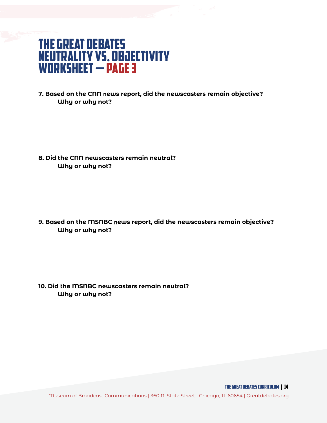### The Great Debates Neutrality vs. Objectivity WORKSHEET — page 3

**7. Based on the CNN** n**ews report, did the newscasters remain objective? Why or why not?** 

**8. Did the CNN newscasters remain neutral? Why or why not?**

**9. Based on the MSNBC** n**ews report, did the newscasters remain objective? Why or why not?** 

**10. Did the MSNBC newscasters remain neutral? Why or why not?**